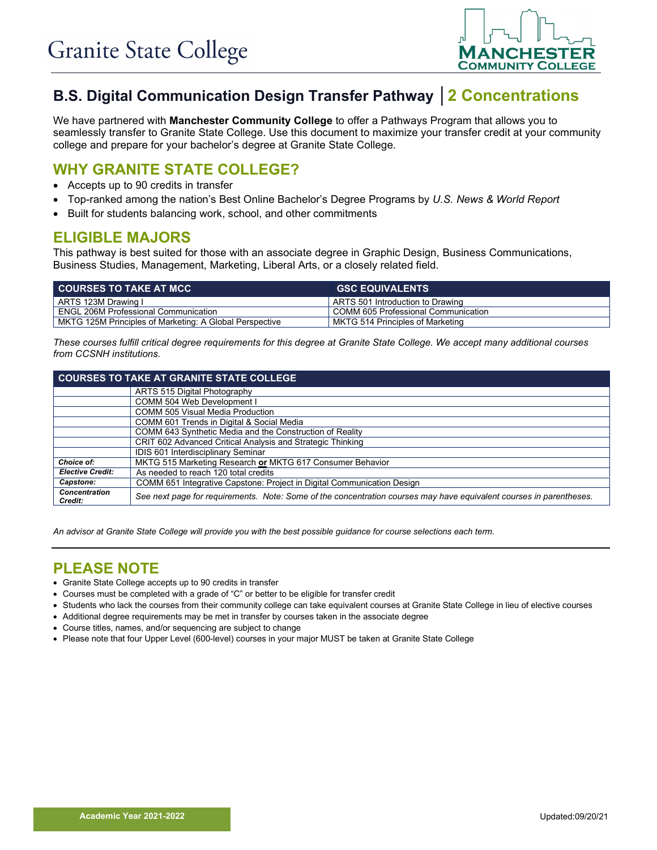

# **B.S. Digital Communication Design Transfer Pathway │2 Concentrations**

We have partnered with **Manchester Community College** to offer a Pathways Program that allows you to seamlessly transfer to Granite State College. Use this document to maximize your transfer credit at your community college and prepare for your bachelor's degree at Granite State College.

## **WHY GRANITE STATE COLLEGE?**

- Accepts up to 90 credits in transfer
- Top-ranked among the nation's Best Online Bachelor's Degree Programs by *U.S. News & World Report*
- Built for students balancing work, school, and other commitments

## **ELIGIBLE MAJORS**

This pathway is best suited for those with an associate degree in Graphic Design, Business Communications, Business Studies, Management, Marketing, Liberal Arts, or a closely related field.

| <b>COURSES TO TAKE AT MCC</b>                           | <b>GSC EQUIVALENTS</b>              |
|---------------------------------------------------------|-------------------------------------|
| ARTS 123M Drawing I                                     | ARTS 501 Introduction to Drawing    |
| <b>ENGL 206M Professional Communication</b>             | COMM 605 Professional Communication |
| MKTG 125M Principles of Marketing: A Global Perspective | MKTG 514 Principles of Marketing    |

*These courses fulfill critical degree requirements for this degree at Granite State College. We accept many additional courses from CCSNH institutions.*

| <b>COURSES TO TAKE AT GRANITE STATE COLLEGE</b> |                                                                                                                     |  |
|-------------------------------------------------|---------------------------------------------------------------------------------------------------------------------|--|
|                                                 | ARTS 515 Digital Photography                                                                                        |  |
|                                                 | COMM 504 Web Development I                                                                                          |  |
|                                                 | <b>COMM 505 Visual Media Production</b>                                                                             |  |
|                                                 | COMM 601 Trends in Digital & Social Media                                                                           |  |
|                                                 | COMM 643 Synthetic Media and the Construction of Reality                                                            |  |
|                                                 | CRIT 602 Advanced Critical Analysis and Strategic Thinking                                                          |  |
|                                                 | IDIS 601 Interdisciplinary Seminar                                                                                  |  |
| Choice of:                                      | MKTG 515 Marketing Research or MKTG 617 Consumer Behavior                                                           |  |
| <b>Elective Credit:</b>                         | As needed to reach 120 total credits                                                                                |  |
| Capstone:                                       | COMM 651 Integrative Capstone: Project in Digital Communication Design                                              |  |
| <b>Concentration</b><br>Credit:                 | See next page for requirements. Note: Some of the concentration courses may have equivalent courses in parentheses. |  |

*An advisor at Granite State College will provide you with the best possible guidance for course selections each term.*

#### **PLEASE NOTE**

- Granite State College accepts up to 90 credits in transfer
- Courses must be completed with a grade of "C" or better to be eligible for transfer credit
- Students who lack the courses from their community college can take equivalent courses at Granite State College in lieu of elective courses
- Additional degree requirements may be met in transfer by courses taken in the associate degree
- Course titles, names, and/or sequencing are subject to change
- Please note that four Upper Level (600-level) courses in your major MUST be taken at Granite State College